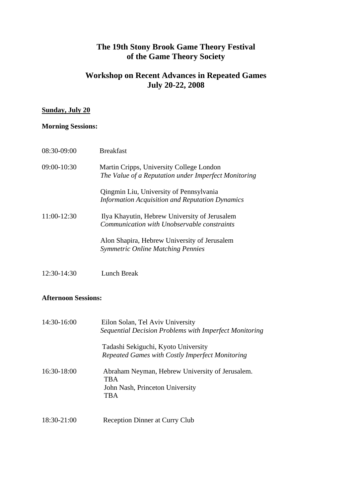# **The 19th Stony Brook Game Theory Festival of the Game Theory Society**

### **Workshop on Recent Advances in Repeated Games July 20-22, 2008**

#### **Sunday, July 20**

#### **Morning Sessions:**

| 08:30-09:00   | <b>Breakfast</b>                                                                                  |
|---------------|---------------------------------------------------------------------------------------------------|
| $09:00-10:30$ | Martin Cripps, University College London<br>The Value of a Reputation under Imperfect Monitoring  |
|               | Qingmin Liu, University of Pennsylvania<br><b>Information Acquisition and Reputation Dynamics</b> |
| $11:00-12:30$ | Ilya Khayutin, Hebrew University of Jerusalem<br>Communication with Unobservable constraints      |
|               | Alon Shapira, Hebrew University of Jerusalem<br><b>Symmetric Online Matching Pennies</b>          |
|               |                                                                                                   |

12:30-14:30Lunch Break

#### **Afternoon Sessions:**

| 14:30-16:00 | Eilon Solan, Tel Aviv University<br>Sequential Decision Problems with Imperfect Monitoring                     |
|-------------|----------------------------------------------------------------------------------------------------------------|
|             | Tadashi Sekiguchi, Kyoto University<br>Repeated Games with Costly Imperfect Monitoring                         |
| 16:30-18:00 | Abraham Neyman, Hebrew University of Jerusalem.<br><b>TBA</b><br>John Nash, Princeton University<br><b>TBA</b> |
| 18:30-21:00 | Reception Dinner at Curry Club                                                                                 |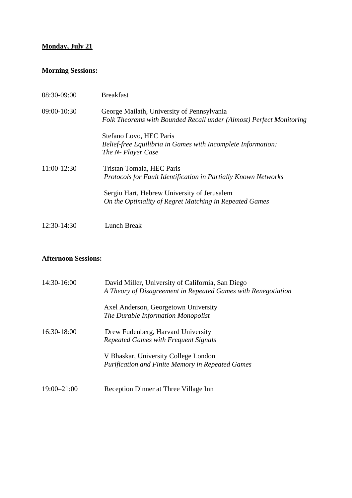# **Monday, July 21**

# **Morning Sessions:**

| 08:30-09:00 | <b>Breakfast</b>                                                                                                  |
|-------------|-------------------------------------------------------------------------------------------------------------------|
| 09:00-10:30 | George Mailath, University of Pennsylvania<br>Folk Theorems with Bounded Recall under (Almost) Perfect Monitoring |
|             | Stefano Lovo, HEC Paris<br>Belief-free Equilibria in Games with Incomplete Information:<br>The N- Player Case     |
| 11:00-12:30 | Tristan Tomala, HEC Paris<br>Protocols for Fault Identification in Partially Known Networks                       |
|             | Sergiu Hart, Hebrew University of Jerusalem<br>On the Optimality of Regret Matching in Repeated Games             |
| 12:30-14:30 | Lunch Break                                                                                                       |

#### **Afternoon Sessions:**

| 14:30-16:00     | David Miller, University of California, San Diego<br>A Theory of Disagreement in Repeated Games with Renegotiation |
|-----------------|--------------------------------------------------------------------------------------------------------------------|
|                 | Axel Anderson, Georgetown University<br>The Durable Information Monopolist                                         |
| 16:30-18:00     | Drew Fudenberg, Harvard University<br>Repeated Games with Frequent Signals                                         |
|                 | V Bhaskar, University College London<br><b>Purification and Finite Memory in Repeated Games</b>                    |
| $19:00 - 21:00$ | Reception Dinner at Three Village Inn                                                                              |